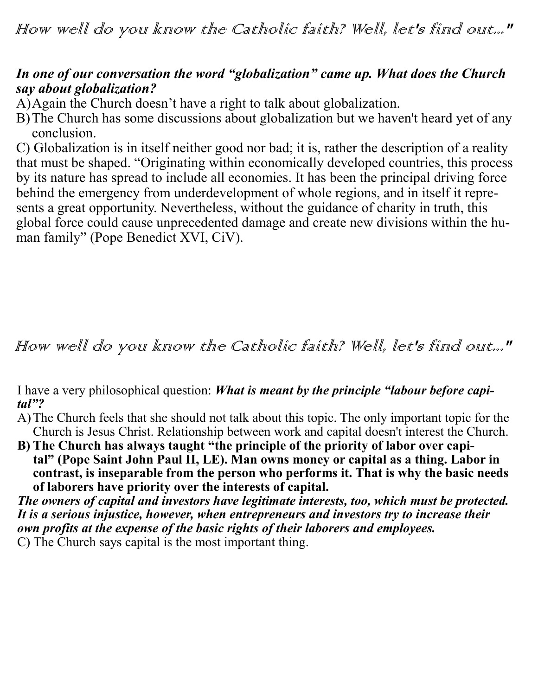## *In one of our conversation the word "globalization" came up. What does the Church say about globalization?*

A)Again the Church doesn't have a right to talk about globalization.

B)The Church has some discussions about globalization but we haven't heard yet of any conclusion.

C) Globalization is in itself neither good nor bad; it is, rather the description of a reality that must be shaped. "Originating within economically developed countries, this process by its nature has spread to include all economies. It has been the principal driving force behind the emergency from underdevelopment of whole regions, and in itself it represents a great opportunity. Nevertheless, without the guidance of charity in truth, this global force could cause unprecedented damage and create new divisions within the human family" (Pope Benedict XVI, CiV).

## How well do you know the Catholic faith? Well, let's find out..."

I have a very philosophical question: *What is meant by the principle "labour before capital"?* 

- A)The Church feels that she should not talk about this topic. The only important topic for the Church is Jesus Christ. Relationship between work and capital doesn't interest the Church.
- B) The Church has always taught "the principle of the priority of labor over capi**tal" (Pope Saint John Paul II, LE). Man owns money or capital as a thing. Labor in contrast, is inseparable from the person who performs it. That is why the basic needs of laborers have priority over the interests of capital.**

*The owners of capital and investors have legitimate interests, too, which must be protected. It is a serious injustice, however, when entrepreneurs and investors try to increase their own profits at the expense of the basic rights of their laborers and employees.*

C) The Church says capital is the most important thing.